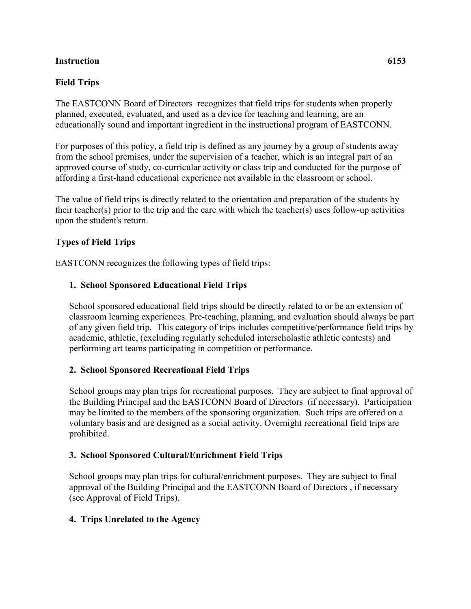### **Instruction 6153**

## **Field Trips**

The EASTCONN Board of Directors recognizes that field trips for students when properly planned, executed, evaluated, and used as a device for teaching and learning, are an educationally sound and important ingredient in the instructional program of EASTCONN.

For purposes of this policy, a field trip is defined as any journey by a group of students away from the school premises, under the supervision of a teacher, which is an integral part of an approved course of study, co-curricular activity or class trip and conducted for the purpose of affording a first-hand educational experience not available in the classroom or school.

The value of field trips is directly related to the orientation and preparation of the students by their teacher(s) prior to the trip and the care with which the teacher(s) uses follow-up activities upon the student's return.

## **Types of Field Trips**

EASTCONN recognizes the following types of field trips:

### **1. School Sponsored Educational Field Trips**

School sponsored educational field trips should be directly related to or be an extension of classroom learning experiences. Pre-teaching, planning, and evaluation should always be part of any given field trip. This category of trips includes competitive/performance field trips by academic, athletic, (excluding regularly scheduled interscholastic athletic contests) and performing art teams participating in competition or performance.

## **2. School Sponsored Recreational Field Trips**

School groups may plan trips for recreational purposes. They are subject to final approval of the Building Principal and the EASTCONN Board of Directors (if necessary). Participation may be limited to the members of the sponsoring organization. Such trips are offered on a voluntary basis and are designed as a social activity. Overnight recreational field trips are prohibited.

#### **3. School Sponsored Cultural/Enrichment Field Trips**

School groups may plan trips for cultural/enrichment purposes. They are subject to final approval of the Building Principal and the EASTCONN Board of Directors , if necessary (see Approval of Field Trips).

#### **4. Trips Unrelated to the Agency**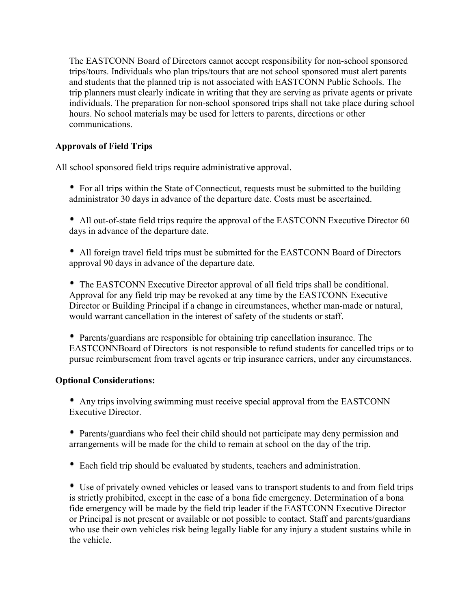The EASTCONN Board of Directors cannot accept responsibility for non-school sponsored trips/tours. Individuals who plan trips/tours that are not school sponsored must alert parents and students that the planned trip is not associated with EASTCONN Public Schools. The trip planners must clearly indicate in writing that they are serving as private agents or private individuals. The preparation for non-school sponsored trips shall not take place during school hours. No school materials may be used for letters to parents, directions or other communications.

# **Approvals of Field Trips**

All school sponsored field trips require administrative approval.

- For all trips within the State of Connecticut, requests must be submitted to the building administrator 30 days in advance of the departure date. Costs must be ascertained.
- All out-of-state field trips require the approval of the EASTCONN Executive Director 60 days in advance of the departure date.
- All foreign travel field trips must be submitted for the EASTCONN Board of Directors approval 90 days in advance of the departure date.

 The EASTCONN Executive Director approval of all field trips shall be conditional. Approval for any field trip may be revoked at any time by the EASTCONN Executive Director or Building Principal if a change in circumstances, whether man-made or natural, would warrant cancellation in the interest of safety of the students or staff.

 Parents/guardians are responsible for obtaining trip cancellation insurance. The EASTCONNBoard of Directors is not responsible to refund students for cancelled trips or to pursue reimbursement from travel agents or trip insurance carriers, under any circumstances.

## **Optional Considerations:**

 Any trips involving swimming must receive special approval from the EASTCONN Executive Director.

 Parents/guardians who feel their child should not participate may deny permission and arrangements will be made for the child to remain at school on the day of the trip.

Each field trip should be evaluated by students, teachers and administration.

 Use of privately owned vehicles or leased vans to transport students to and from field trips is strictly prohibited, except in the case of a bona fide emergency. Determination of a bona fide emergency will be made by the field trip leader if the EASTCONN Executive Director or Principal is not present or available or not possible to contact. Staff and parents/guardians who use their own vehicles risk being legally liable for any injury a student sustains while in the vehicle.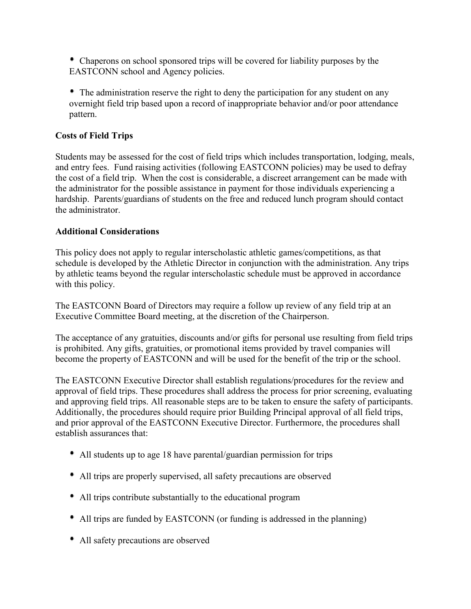Chaperons on school sponsored trips will be covered for liability purposes by the EASTCONN school and Agency policies.

 The administration reserve the right to deny the participation for any student on any overnight field trip based upon a record of inappropriate behavior and/or poor attendance pattern.

# **Costs of Field Trips**

Students may be assessed for the cost of field trips which includes transportation, lodging, meals, and entry fees. Fund raising activities (following EASTCONN policies) may be used to defray the cost of a field trip. When the cost is considerable, a discreet arrangement can be made with the administrator for the possible assistance in payment for those individuals experiencing a hardship. Parents/guardians of students on the free and reduced lunch program should contact the administrator.

## **Additional Considerations**

This policy does not apply to regular interscholastic athletic games/competitions, as that schedule is developed by the Athletic Director in conjunction with the administration. Any trips by athletic teams beyond the regular interscholastic schedule must be approved in accordance with this policy.

The EASTCONN Board of Directors may require a follow up review of any field trip at an Executive Committee Board meeting, at the discretion of the Chairperson.

The acceptance of any gratuities, discounts and/or gifts for personal use resulting from field trips is prohibited. Any gifts, gratuities, or promotional items provided by travel companies will become the property of EASTCONN and will be used for the benefit of the trip or the school.

The EASTCONN Executive Director shall establish regulations/procedures for the review and approval of field trips. These procedures shall address the process for prior screening, evaluating and approving field trips. All reasonable steps are to be taken to ensure the safety of participants. Additionally, the procedures should require prior Building Principal approval of all field trips, and prior approval of the EASTCONN Executive Director. Furthermore, the procedures shall establish assurances that:

- All students up to age 18 have parental/guardian permission for trips
- All trips are properly supervised, all safety precautions are observed
- All trips contribute substantially to the educational program
- All trips are funded by EASTCONN (or funding is addressed in the planning)
- All safety precautions are observed